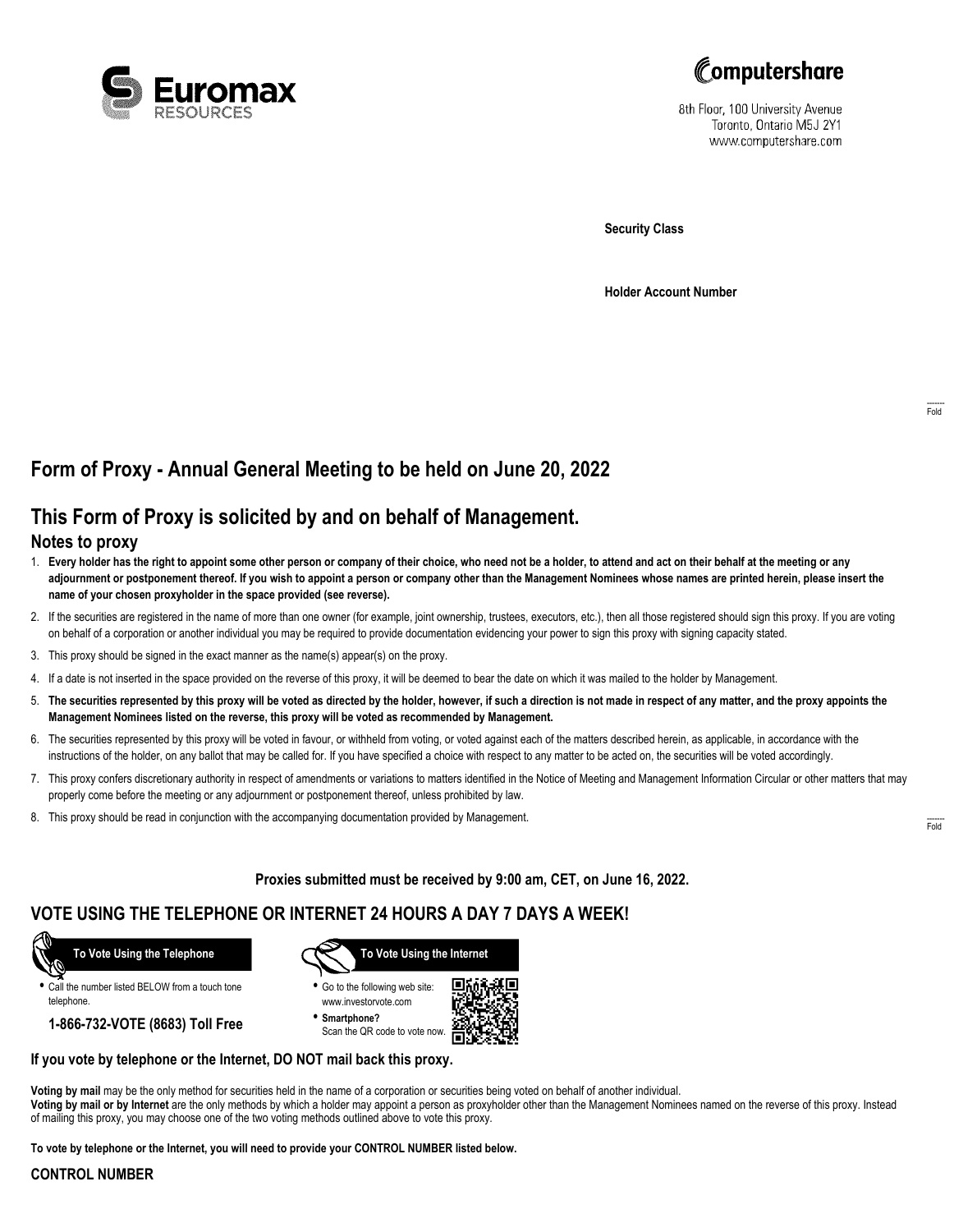



8th Floor, 100 University Avenue Toronto, Ontario M5J 2Y1 www.computershare.com

**Security Class**

**Holder Account Number**

## **Form of Proxy - Annual General Meeting to be held on June 20, 2022**

# **This Form of Proxy is solicited by and on behalf of Management.**

### **Notes to proxy**

- 1. **Every holder has the right to appoint some other person or company of their choice, who need not be a holder, to attend and act on their behalf at the meeting or any adjournment or postponement thereof. If you wish to appoint a person or company other than the Management Nominees whose names are printed herein, please insert the name of your chosen proxyholder in the space provided (see reverse).**
- 2. If the securities are registered in the name of more than one owner (for example, joint ownership, trustees, executors, etc.), then all those registered should sign this proxy. If you are voting on behalf of a corporation or another individual you may be required to provide documentation evidencing your power to sign this proxy with signing capacity stated.
- 3. This proxy should be signed in the exact manner as the name(s) appear(s) on the proxy.
- 4. If a date is not inserted in the space provided on the reverse of this proxy, it will be deemed to bear the date on which it was mailed to the holder by Management.
- 5. **The securities represented by this proxy will be voted as directed by the holder, however, if such a direction is not made in respect of any matter, and the proxy appoints the Management Nominees listed on the reverse, this proxy will be voted as recommended by Management.**
- 6. The securities represented by this proxy will be voted in favour, or withheld from voting, or voted against each of the matters described herein, as applicable, in accordance with the instructions of the holder, on any ballot that may be called for. If you have specified a choice with respect to any matter to be acted on, the securities will be voted accordingly.
- 7. This proxy confers discretionary authority in respect of amendments or variations to matters identified in the Notice of Meeting and Management Information Circular or other matters that may properly come before the meeting or any adjournment or postponement thereof, unless prohibited by law.
- 8. This proxy should be read in conjunction with the accompanying documentation provided by Management.

**Proxies submitted must be received by 9:00 am, CET, on June 16, 2022.**

### **VOTE USING THE TELEPHONE OR INTERNET 24 HOURS A DAY 7 DAYS A WEEK!**



**•** Call the number listed BELOW from a touch tone telephone.

**1-866-732-VOTE (8683) Toll Free**



**•** Go to the following web site: www.investorvote.com

**• Smartphone?** Scan the QR code to vote now.



#### **If you vote by telephone or the Internet, DO NOT mail back this proxy.**

**Voting by mail** may be the only method for securities held in the name of a corporation or securities being voted on behalf of another individual. **Voting by mail or by Internet** are the only methods by which a holder may appoint a person as proxyholder other than the Management Nominees named on the reverse of this proxy. Instead of mailing this proxy, you may choose one of the two voting methods outlined above to vote this proxy.

**To vote by telephone or the Internet, you will need to provide your CONTROL NUMBER listed below.**

#### **CONTROL NUMBER**